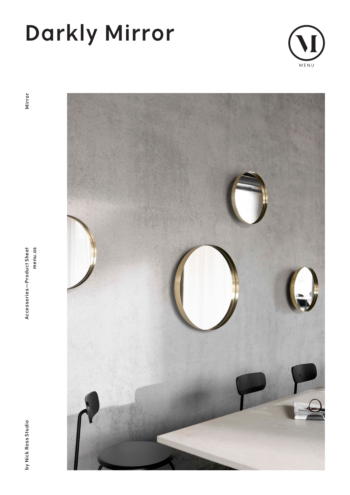# **Darkly Mirror**



Mirror

**by Nick Ross Studio Accessories—Product Sheet menu.as Mirror**Accessories-Product Sheet menu.as



by Nick Ross Studio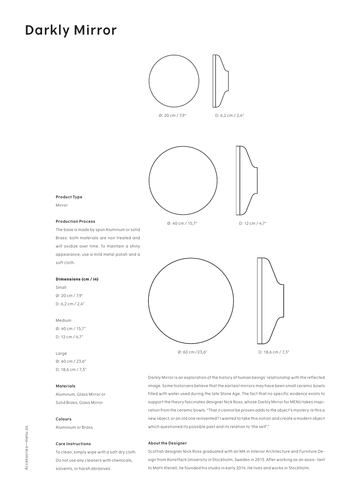### **Darkly Mirror**



Ø: 60 cm /23,6" D: 18,6 cm / 7,3"

Darkly Mirror is an exploration of the history of human beings' relationship with the reflected image. Some historians believe that the earliest mirrors may have been small ceramic bowls filled with water used during the late Stone Age. The fact that no specific evidence exists to support the theory fascinates designer Nick Ross, whose Darkly Mirror for MENU takes inspiration from the ceramic bowls. "That it cannot be proven adds to the object's mystery. Is this a new object, or an old one reinvented? I wanted to take this notion and create a modern object which questioned its possible past and its relation to 'the self'."

#### **About the Designer**

Scottish designer Nick Ross graduated with an MA in Interior Architecture and Furniture Design from Konstfack University in Stockholm, Sweden in 2013. After working as an assis- tant to Matti Klenell, he founded his studio in early 2014. He lives and works in Stockholm.

### **Product Type**

Mirror

#### **Production Process**

The base is made by spun Aluminum or solid Brass: both materials are non treated and will oxidize over time. To maintain a shiny appearance, use a mild metal polish and a soft cloth.

#### **Dimensions (cm / in)**

Small Ø: 20 cm / 7,9" D: 6,2 cm / 2,4"

#### Medium

Ø: 40 cm / 15,7" D: 12 cm / 4,7"

Large Ø: 60 cm / 23,6" D: 18,6 cm / 7,3"

#### **Materials**

Aluminum, Glass Mirror or Solid Brass, Glass Mirror

#### **Colours**

Aluminium or Brass

#### **Care Instructions**

To clean, simply wipe with a soft dry cloth. Do not use any cleaners with chemicals, solvents, or harsh abrasives.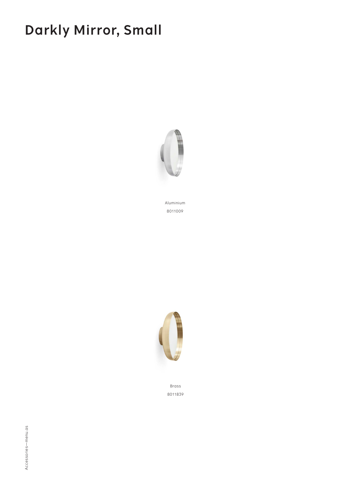## **Darkly Mirror, Small**



Aluminium 8011009



**Brass** 8011839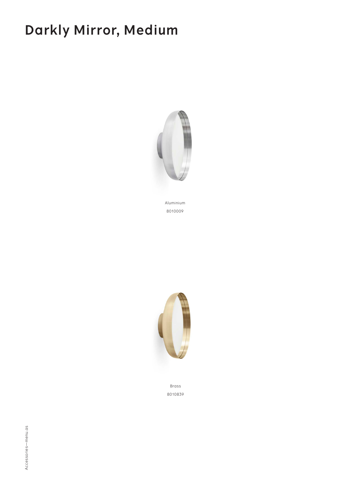## **Darkly Mirror, Medium**



Aluminium 8010009



Brass 8010839